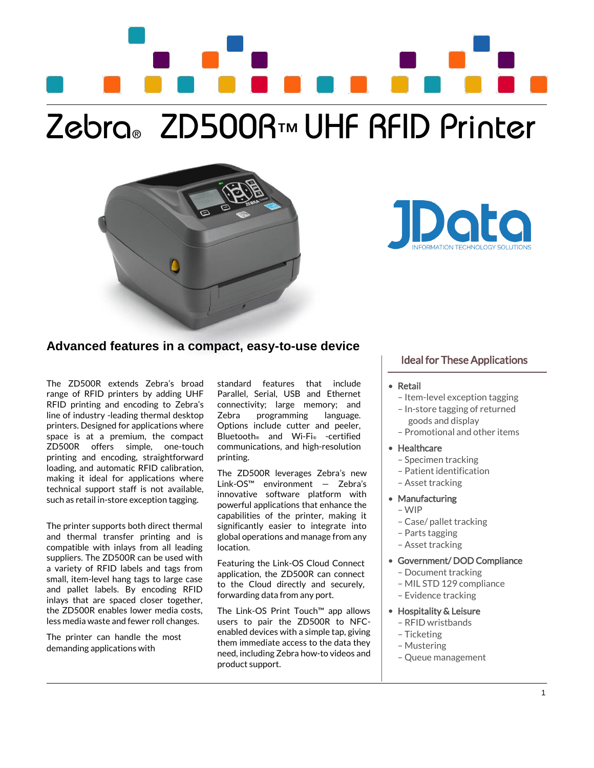# Zebra® ZD500R™ UHF RFID Printer





# **Advanced features in a compact, easy-to-use device**

The ZD500R extends Zebra's broad range of RFID printers by adding UHF RFID printing and encoding to Zebra's line of industry -leading thermal desktop printers. Designed for applications where space is at a premium, the compact ZD500R offers simple, one-touch printing and encoding, straightforward loading, and automatic RFID calibration, making it ideal for applications where technical support staff is not available, such as retail in-store exception tagging.

The printer supports both direct thermal and thermal transfer printing and is compatible with inlays from all leading suppliers. The ZD500R can be used with a variety of RFID labels and tags from small, item-level hang tags to large case and pallet labels. By encoding RFID inlays that are spaced closer together, the ZD500R enables lower media costs, less media waste and fewer roll changes.

The printer can handle the most demanding applications with

standard features that include Parallel, Serial, USB and Ethernet connectivity; large memory; and Zebra programming language. Options include cutter and peeler, Bluetooth® and Wi-Fi® -certified communications, and high-resolution printing.

The ZD500R leverages Zebra's new Link-OS™ environment — Zebra's innovative software platform with powerful applications that enhance the capabilities of the printer, making it significantly easier to integrate into global operations and manage from any location.

Featuring the Link-OS Cloud Connect application, the ZD500R can connect to the Cloud directly and securely, forwarding data from any port.

The Link-OS Print Touch™ app allows users to pair the ZD500R to NFCenabled devices with a simple tap, giving them immediate access to the data they need, including Zebra how-to videos and product support.

# Ideal for These Applications

#### • Retail  $\overline{a}$

- Item-level exception tagging
- In-store tagging of returned goods and display
- Promotional and other items
- Healthcare  $\overline{a}$ 
	- Specimen tracking
	- Patient identification
	- Asset tracking
- Manufacturing
	- WIP

 $\overline{a}$ 

 $\overline{a}$ 

- Case/ pallet tracking
- Parts tagging
- Asset tracking
- Government/ DOD Compliance  $\overline{a}$ 
	- Document tracking
	- MIL STD 129 compliance
	- Evidence tracking
- Hospitality & Leisure
	- RFID wristbands
	- Ticketing
	- Mustering
	- Queue management